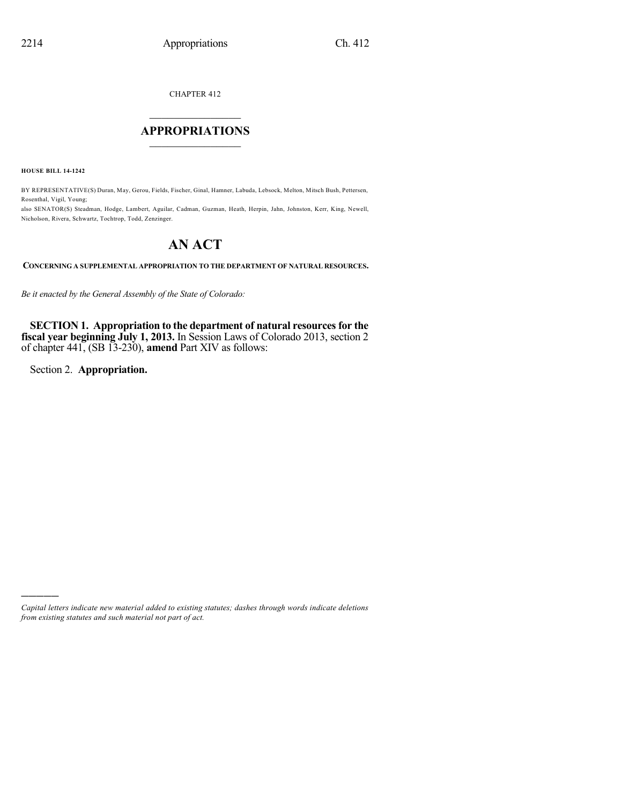CHAPTER 412

## $\overline{\phantom{a}}$  . The set of the set of the set of the set of the set of the set of the set of the set of the set of the set of the set of the set of the set of the set of the set of the set of the set of the set of the set o **APPROPRIATIONS**  $\_$   $\_$   $\_$   $\_$   $\_$   $\_$   $\_$   $\_$

**HOUSE BILL 14-1242**

BY REPRESENTATIVE(S) Duran, May, Gerou, Fields, Fischer, Ginal, Hamner, Labuda, Lebsock, Melton, Mitsch Bush, Pettersen, Rosenthal, Vigil, Young;

also SENATOR(S) Steadman, Hodge, Lambert, Aguilar, Cadman, Guzman, Heath, Herpin, Jahn, Johnston, Kerr, King, Newell, Nicholson, Rivera, Schwartz, Tochtrop, Todd, Zenzinger.

## **AN ACT**

**CONCERNING A SUPPLEMENTAL APPROPRIATION TO THE DEPARTMENT OF NATURAL RESOURCES.**

*Be it enacted by the General Assembly of the State of Colorado:*

**SECTION 1. Appropriation to the department of natural resourcesfor the fiscal year beginning July 1, 2013.** In Session Laws of Colorado 2013, section 2 of chapter 441, (SB 13-230), **amend** Part XIV as follows:

Section 2. **Appropriation.**

)))))

*Capital letters indicate new material added to existing statutes; dashes through words indicate deletions from existing statutes and such material not part of act.*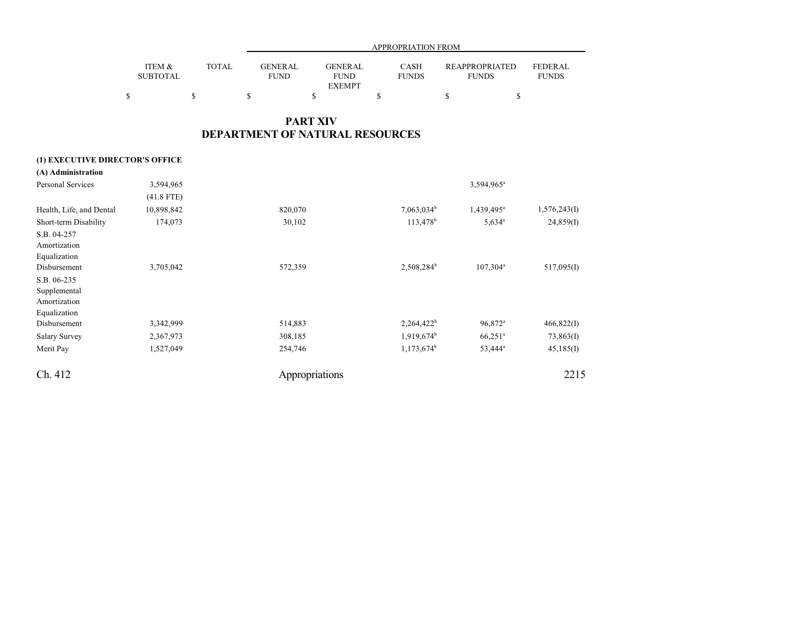| APPROPRIATION FROM |              |                |                |              |                       |                |  |
|--------------------|--------------|----------------|----------------|--------------|-----------------------|----------------|--|
| ITEM &             | <b>TOTAL</b> | <b>GENERAL</b> | <b>GENERAL</b> | <b>CASH</b>  | <b>REAPPROPRIATED</b> | <b>FEDERAL</b> |  |
| SUBTOTAL           |              | FUND           | <b>FUND</b>    | <b>FUNDS</b> | <b>FUNDS</b>          | <b>FUNDS</b>   |  |
|                    |              |                | <b>EXEMPT</b>  |              |                       |                |  |
|                    |              |                |                |              |                       |                |  |

## **PART XIV DEPARTMENT OF NATURAL RESOURCES**

### **(1) EXECUTIVE DIRECTOR'S OFFICE**

| (A) Administration       |              |                |                        |                        |              |
|--------------------------|--------------|----------------|------------------------|------------------------|--------------|
| Personal Services        | 3,594,965    |                |                        | 3,594,965 <sup>a</sup> |              |
|                          | $(41.8$ FTE) |                |                        |                        |              |
| Health, Life, and Dental | 10,898,842   | 820,070        | $7,063,034^b$          | 1,439,495 <sup>a</sup> | 1,576,243(I) |
| Short-term Disability    | 174,073      | 30,102         | 113,478 <sup>b</sup>   | $5,634^{\circ}$        | 24,859(I)    |
| S.B. 04-257              |              |                |                        |                        |              |
| Amortization             |              |                |                        |                        |              |
| Equalization             |              |                |                        |                        |              |
| Disbursement             | 3,705,042    | 572,359        | 2,508,284 <sup>b</sup> | $107,304^a$            | 517,095(I)   |
| S.B. 06-235              |              |                |                        |                        |              |
| Supplemental             |              |                |                        |                        |              |
| Amortization             |              |                |                        |                        |              |
| Equalization             |              |                |                        |                        |              |
| Disbursement             | 3,342,999    | 514,883        | 2,264,422 <sup>b</sup> | 96,872 <sup>a</sup>    | 466,822(I)   |
| <b>Salary Survey</b>     | 2,367,973    | 308,185        | $1,919,674^b$          | $66,251$ <sup>a</sup>  | 73,863(I)    |
| Merit Pay                | 1,527,049    | 254,746        | $1,173,674^b$          | 53,444 <sup>a</sup>    | 45,185(I)    |
| Ch. 412                  |              | Appropriations |                        |                        | 2215         |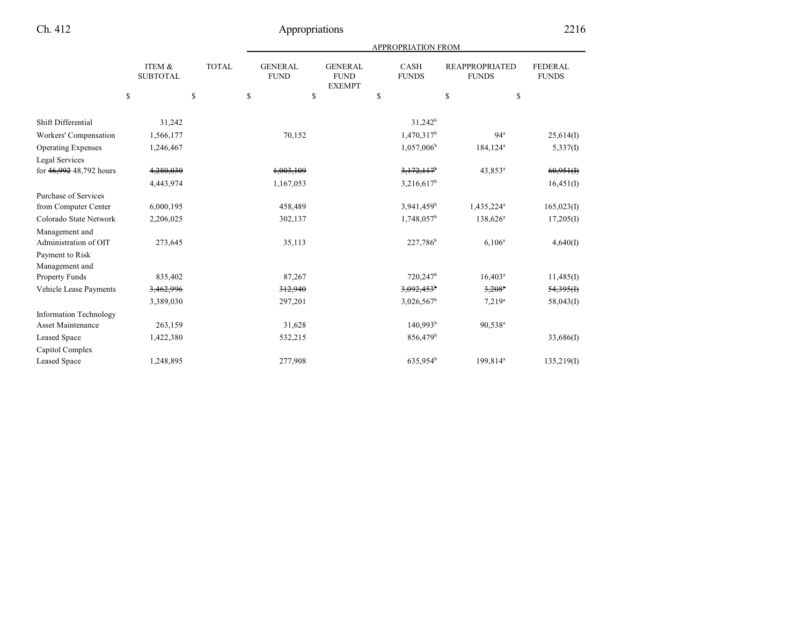| <b>APPROPRIATION FROM</b> |  |
|---------------------------|--|
|                           |  |

|                               | ITEM &<br><b>SUBTOTAL</b> | <b>TOTAL</b> | <b>GENERAL</b><br><b>FUND</b> | <b>GENERAL</b><br><b>FUND</b><br><b>EXEMPT</b> | <b>CASH</b><br><b>FUNDS</b> | <b>REAPPROPRIATED</b><br><b>FUNDS</b> | <b>FEDERAL</b><br><b>FUNDS</b> |
|-------------------------------|---------------------------|--------------|-------------------------------|------------------------------------------------|-----------------------------|---------------------------------------|--------------------------------|
|                               | \$                        | $\mathbf S$  | \$                            | \$                                             | \$                          | \$                                    | \$                             |
|                               |                           |              |                               |                                                |                             |                                       |                                |
| Shift Differential            | 31,242                    |              |                               |                                                | $31,242^b$                  |                                       |                                |
| Workers' Compensation         | 1,566,177                 |              | 70,152                        |                                                | 1,470,317 <sup>b</sup>      | 94 <sup>a</sup>                       | 25,614(I)                      |
| <b>Operating Expenses</b>     | 1,246,467                 |              |                               |                                                | 1,057,006 <sup>b</sup>      | 184,124 <sup>a</sup>                  | 5,337(I)                       |
| Legal Services                |                           |              |                               |                                                |                             |                                       |                                |
| for 46,992 48,792 hours       | 4,280,030                 |              | 1,003,109                     |                                                | $3,172,117$ <sup>b</sup>    | 43,853 <sup>a</sup>                   | 60,951(f)                      |
|                               | 4,443,974                 |              | 1,167,053                     |                                                | $3,216,617^b$               |                                       | 16,451(I)                      |
| <b>Purchase of Services</b>   |                           |              |                               |                                                |                             |                                       |                                |
| from Computer Center          | 6,000,195                 |              | 458,489                       |                                                | 3,941,459 <sup>b</sup>      | 1,435,224 <sup>a</sup>                | 165,023(I)                     |
| Colorado State Network        | 2,206,025                 |              | 302,137                       |                                                | $1,748,057^b$               | $138,626^a$                           | 17,205(I)                      |
| Management and                |                           |              |                               |                                                |                             |                                       |                                |
| Administration of OIT         | 273,645                   |              | 35,113                        |                                                | 227,786 <sup>b</sup>        | $6,106^a$                             | 4,640(I)                       |
| Payment to Risk               |                           |              |                               |                                                |                             |                                       |                                |
| Management and                |                           |              |                               |                                                |                             |                                       |                                |
| Property Funds                | 835,402                   |              | 87,267                        |                                                | 720,247 <sup>b</sup>        | $16,403^a$                            | 11,485(I)                      |
| Vehicle Lease Payments        | 3,462,996                 |              | 312,940                       |                                                | $3,092,453$ <sup>b</sup>    | $3,208$ <sup>a</sup>                  | 54,395(f)                      |
|                               | 3,389,030                 |              | 297,201                       |                                                | $3,026,567^b$               | $7,219^a$                             | 58,043(I)                      |
| <b>Information Technology</b> |                           |              |                               |                                                |                             |                                       |                                |
| <b>Asset Maintenance</b>      | 263,159                   |              | 31,628                        |                                                | 140,993 <sup>b</sup>        | 90,538 <sup>a</sup>                   |                                |
| Leased Space                  | 1,422,380                 |              | 532,215                       |                                                | $856,479$ <sup>b</sup>      |                                       | 33,686(I)                      |
| Capitol Complex               |                           |              |                               |                                                |                             |                                       |                                |
| <b>Leased Space</b>           | 1,248,895                 |              | 277,908                       |                                                | 635,954 <sup>b</sup>        | 199,814 <sup>a</sup>                  | 135,219(I)                     |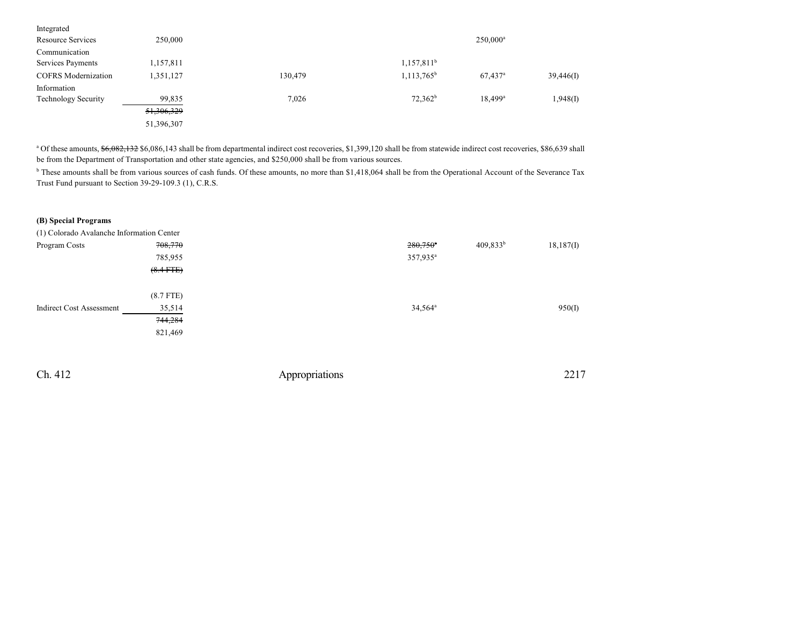| 250,000    |         |                     | $250,000^a$           |           |
|------------|---------|---------------------|-----------------------|-----------|
|            |         |                     |                       |           |
| 1,157,811  |         | $1,157,811^b$       |                       |           |
| 1,351,127  | 130.479 | $1,113,765^{\rm b}$ | $67,437$ <sup>a</sup> | 39,446(I) |
|            |         |                     |                       |           |
| 99,835     | 7,026   | $72,362^b$          | $18.499$ <sup>a</sup> | 1,948(I)  |
| 51,306,329 |         |                     |                       |           |
| 51,396,307 |         |                     |                       |           |
|            |         |                     |                       |           |

<sup>a</sup> Of these amounts, \$6,082,132 \$6,086,143 shall be from departmental indirect cost recoveries, \$1,399,120 shall be from statewide indirect cost recoveries, \$86,639 shall be from the Department of Transportation and other state agencies, and \$250,000 shall be from various sources.

<sup>b</sup> These amounts shall be from various sources of cash funds. Of these amounts, no more than \$1,418,064 shall be from the Operational Account of the Severance Tax Trust Fund pursuant to Section 39-29-109.3 (1), C.R.S.

### **(B) Special Programs**

| (1) Colorado Avalanche Information Center |             |                        |                          |
|-------------------------------------------|-------------|------------------------|--------------------------|
| Program Costs                             | 708,770     | $280,750$ <sup>*</sup> | $409,833^b$<br>18,187(I) |
|                                           | 785,955     | 357,935 <sup>a</sup>   |                          |
|                                           | $(8.4$ FTE) |                        |                          |
|                                           |             |                        |                          |
|                                           | $(8.7$ FTE) |                        |                          |
| <b>Indirect Cost Assessment</b>           | 35,514      | $34,564^{\circ}$       | 950(I)                   |
|                                           | 744,284     |                        |                          |
|                                           | 821,469     |                        |                          |
|                                           |             |                        |                          |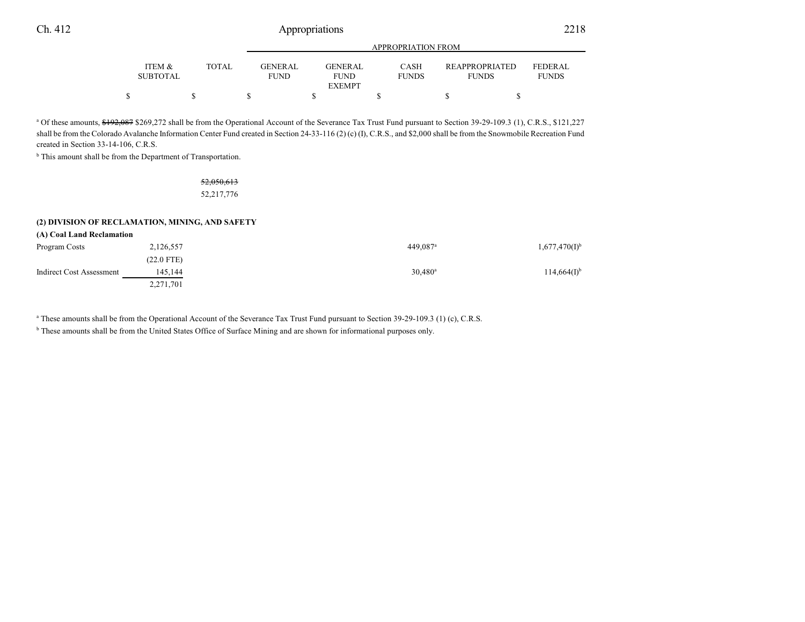|                           |       |                               | <b>APPROPRIATION FROM</b> |                             |                                       |                                |  |  |
|---------------------------|-------|-------------------------------|---------------------------|-----------------------------|---------------------------------------|--------------------------------|--|--|
| ITEM &<br><b>SUBTOTAL</b> | TOTAL | <b>GENERAL</b><br><b>FUND</b> | GENERAL<br><b>FUND</b>    | <b>CASH</b><br><b>FUNDS</b> | <b>REAPPROPRIATED</b><br><b>FUNDS</b> | <b>FEDERAL</b><br><b>FUNDS</b> |  |  |
|                           |       |                               | <b>EXEMPT</b>             |                             |                                       |                                |  |  |
|                           |       |                               |                           |                             |                                       |                                |  |  |

<sup>a</sup> Of these amounts, \$192,087 \$269,272 shall be from the Operational Account of the Severance Tax Trust Fund pursuant to Section 39-29-109.3 (1), C.R.S., \$121,227 shall be from the Colorado Avalanche Information Center Fund created in Section 24-33-116 (2) (c) (I), C.R.S., and \$2,000 shall be from the Snowmobile Recreation Fund created in Section 33-14-106, C.R.S.

<sup>b</sup> This amount shall be from the Department of Transportation.

52,050,613 52,217,776

### **(2) DIVISION OF RECLAMATION, MINING, AND SAFETY**

| (A) Coal Land Reclamation |              |                      |                    |
|---------------------------|--------------|----------------------|--------------------|
| Program Costs             | 2,126,557    | 449.087 <sup>a</sup> | $1,677,470(I)^{b}$ |
|                           | $(22.0$ FTE) |                      |                    |
| Indirect Cost Assessment  | 145.144      | $30,480^{\rm a}$     | $114,664(I)^{b}$   |
|                           | 2,271,701    |                      |                    |

a These amounts shall be from the Operational Account of the Severance Tax Trust Fund pursuant to Section 39-29-109.3 (1) (c), C.R.S.

<sup>b</sup> These amounts shall be from the United States Office of Surface Mining and are shown for informational purposes only.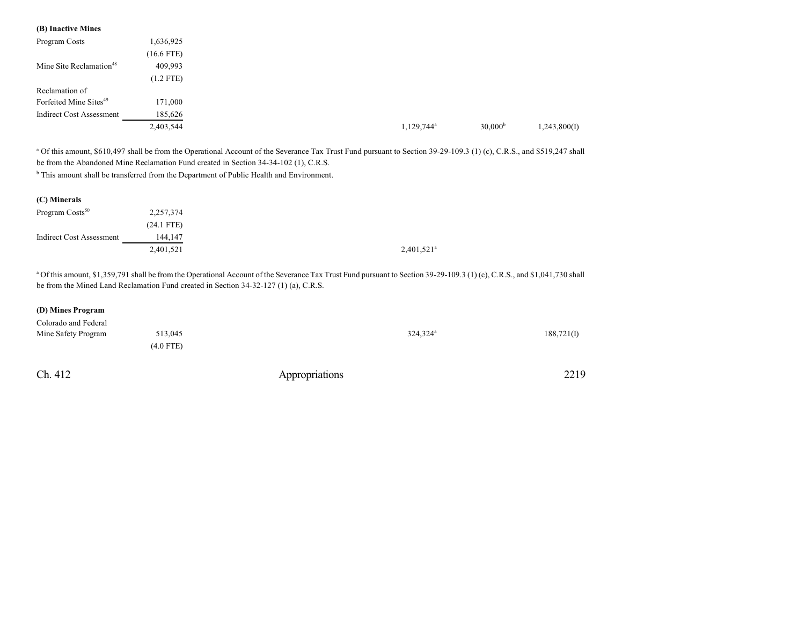| (B) Inactive Mines                  |              |
|-------------------------------------|--------------|
| Program Costs                       | 1,636,925    |
|                                     | $(16.6$ FTE) |
| Mine Site Reclamation <sup>48</sup> | 409,993      |
|                                     | $(1.2$ FTE)  |
| Reclamation of                      |              |
| Forfeited Mine Sites <sup>49</sup>  | 171,000      |
| <b>Indirect Cost Assessment</b>     | 185,626      |
|                                     | 2,403,544    |

<sup>a</sup> Of this amount, \$610,497 shall be from the Operational Account of the Severance Tax Trust Fund pursuant to Section 39-29-109.3 (1) (c), C.R.S., and \$519,247 shall be from the Abandoned Mine Reclamation Fund created in Section 34-34-102 (1), C.R.S.

<sup>b</sup> This amount shall be transferred from the Department of Public Health and Environment.

| (C) Minerals                    |              |
|---------------------------------|--------------|
| Program Costs <sup>50</sup>     | 2,257,374    |
|                                 | $(24.1$ FTE) |
| <b>Indirect Cost Assessment</b> | 144,147      |
|                                 | 2,401,521    |

<sup>a</sup> Of this amount, \$1,359,791 shall be from the Operational Account of the Severance Tax Trust Fund pursuant to Section 39-29-109.3 (1) (c), C.R.S., and \$1,041,730 shall be from the Mined Land Reclamation Fund created in Section 34-32-127 (1) (a), C.R.S.

### **(D) Mines Program**

| Colorado and Federal |             |                |                      |            |
|----------------------|-------------|----------------|----------------------|------------|
| Mine Safety Program  | 513.045     |                | 324,324 <sup>a</sup> | 188,721(I) |
|                      | $(4.0$ FTE) |                |                      |            |
| Ch. 412              |             | Appropriations |                      | 2219       |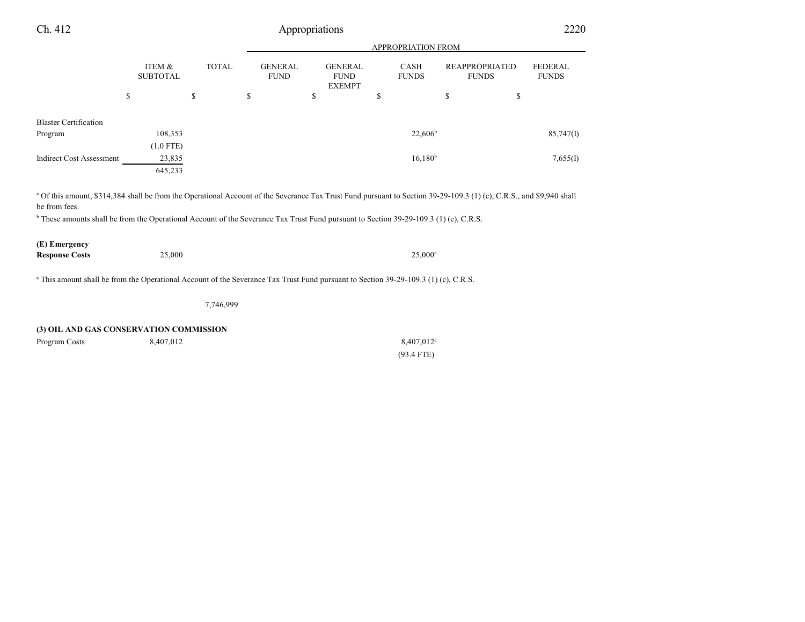| Ch. 412                                                                                                                                                                                                                                                                                                                                     | Appropriations            |              |                               |                                                |                             |                                       | 2220                           |  |
|---------------------------------------------------------------------------------------------------------------------------------------------------------------------------------------------------------------------------------------------------------------------------------------------------------------------------------------------|---------------------------|--------------|-------------------------------|------------------------------------------------|-----------------------------|---------------------------------------|--------------------------------|--|
|                                                                                                                                                                                                                                                                                                                                             |                           |              |                               | <b>APPROPRIATION FROM</b>                      |                             |                                       |                                |  |
|                                                                                                                                                                                                                                                                                                                                             | ITEM &<br><b>SUBTOTAL</b> | <b>TOTAL</b> | <b>GENERAL</b><br><b>FUND</b> | <b>GENERAL</b><br><b>FUND</b><br><b>EXEMPT</b> | <b>CASH</b><br><b>FUNDS</b> | <b>REAPPROPRIATED</b><br><b>FUNDS</b> | <b>FEDERAL</b><br><b>FUNDS</b> |  |
|                                                                                                                                                                                                                                                                                                                                             | \$                        | \$           | \$                            | \$                                             | S                           | \$<br>\$                              |                                |  |
| <b>Blaster Certification</b>                                                                                                                                                                                                                                                                                                                |                           |              |                               |                                                |                             |                                       |                                |  |
| Program                                                                                                                                                                                                                                                                                                                                     | 108,353                   |              |                               |                                                | $22,606^b$                  |                                       | 85,747(I)                      |  |
|                                                                                                                                                                                                                                                                                                                                             | $(1.0$ FTE)               |              |                               |                                                |                             |                                       |                                |  |
| <b>Indirect Cost Assessment</b>                                                                                                                                                                                                                                                                                                             | 23,835                    |              |                               |                                                | 16,180 <sup>b</sup>         |                                       | 7,655(I)                       |  |
|                                                                                                                                                                                                                                                                                                                                             | 645,233                   |              |                               |                                                |                             |                                       |                                |  |
| <sup>a</sup> Of this amount, \$314,384 shall be from the Operational Account of the Severance Tax Trust Fund pursuant to Section 39-29-109.3 (1) (c), C.R.S., and \$9,940 shall<br>be from fees.<br>$b$ These amounts shall be from the Operational Account of the Severance Tax Trust Fund pursuant to Section 39-29-109.3 (1) (c), C.R.S. |                           |              |                               |                                                |                             |                                       |                                |  |
| (E) Emergency                                                                                                                                                                                                                                                                                                                               |                           |              |                               |                                                |                             |                                       |                                |  |
| <b>Response Costs</b>                                                                                                                                                                                                                                                                                                                       | 25,000                    |              |                               |                                                | $25,000^{\rm a}$            |                                       |                                |  |

<sup>a</sup> This amount shall be from the Operational Account of the Severance Tax Trust Fund pursuant to Section 39-29-109.3 (1) (c), C.R.S.

7,746,999

### **(3) OIL AND GAS CONSERVATION COMMISSION**

| Program Costs | 8,407,012 | 8,407,012 <sup>a</sup> |
|---------------|-----------|------------------------|
|               |           | $(93.4$ FTE)           |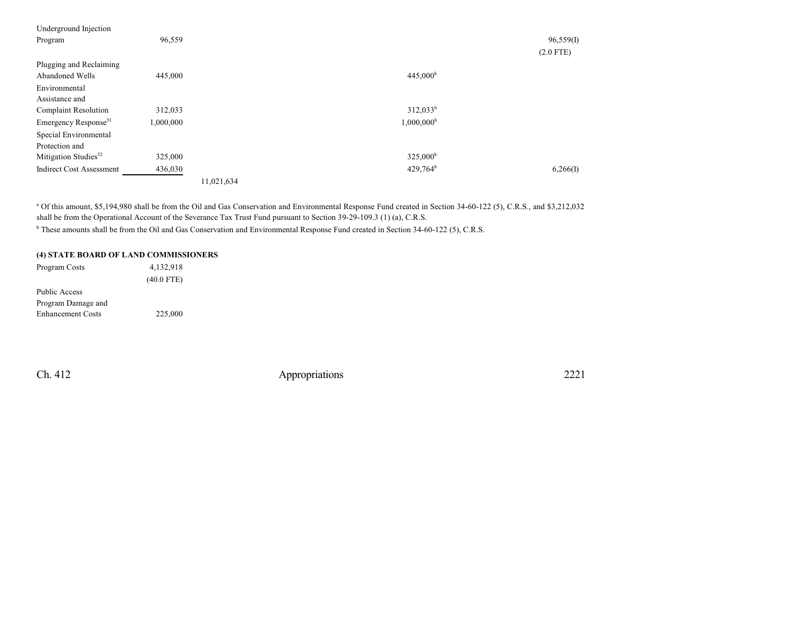| 96,559    |            |                      | 96,559(I)   |
|-----------|------------|----------------------|-------------|
|           |            |                      | $(2.0$ FTE) |
|           |            |                      |             |
| 445,000   |            | 445,000 <sup>b</sup> |             |
|           |            |                      |             |
|           |            |                      |             |
| 312,033   |            | $312,033^b$          |             |
| 1,000,000 |            | $1,000,000^{\rm b}$  |             |
|           |            |                      |             |
|           |            |                      |             |
| 325,000   |            | 325,000 <sup>b</sup> |             |
| 436,030   |            | $429,764^b$          | 6,266(I)    |
|           | 11,021,634 |                      |             |
|           |            |                      |             |

<sup>a</sup> Of this amount, \$5,194,980 shall be from the Oil and Gas Conservation and Environmental Response Fund created in Section 34-60-122 (5), C.R.S., and \$3,212,032 shall be from the Operational Account of the Severance Tax Trust Fund pursuant to Section 39-29-109.3 (1) (a), C.R.S. <sup>b</sup> These amounts shall be from the Oil and Gas Conservation and Environmental Response Fund created in Section 34-60-122 (5), C.R.S.

### **(4) STATE BOARD OF LAND COMMISSIONERS**

| Program Costs            | 4,132,918    |  |
|--------------------------|--------------|--|
|                          | $(40.0$ FTE) |  |
| <b>Public Access</b>     |              |  |
| Program Damage and       |              |  |
| <b>Enhancement Costs</b> | 225,000      |  |
|                          |              |  |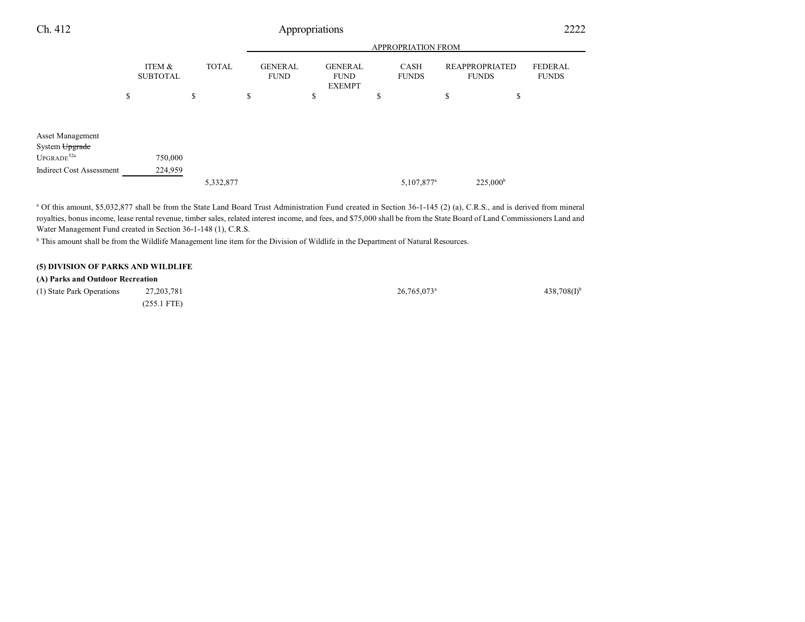| Ch. 412                                               |                           |              | Appropriations                |           |                                                |                        |                                       | 2222                           |
|-------------------------------------------------------|---------------------------|--------------|-------------------------------|-----------|------------------------------------------------|------------------------|---------------------------------------|--------------------------------|
|                                                       |                           |              |                               |           |                                                | APPROPRIATION FROM     |                                       |                                |
|                                                       | ITEM &<br><b>SUBTOTAL</b> | <b>TOTAL</b> | <b>GENERAL</b><br><b>FUND</b> |           | <b>GENERAL</b><br><b>FUND</b><br><b>EXEMPT</b> | CASH<br><b>FUNDS</b>   | <b>REAPPROPRIATED</b><br><b>FUNDS</b> | <b>FEDERAL</b><br><b>FUNDS</b> |
|                                                       | \$                        | \$           | \$                            | ــه<br>P. |                                                | \$                     | \$<br>\$                              |                                |
| Asset Management<br>System Upgrade<br>$UPGRAPH^{52a}$ | 750,000                   |              |                               |           |                                                |                        |                                       |                                |
| <b>Indirect Cost Assessment</b>                       | 224,959                   | 5,332,877    |                               |           |                                                | 5,107,877 <sup>a</sup> | $225,000^{\rm b}$                     |                                |

<sup>a</sup> Of this amount, \$5,032,877 shall be from the State Land Board Trust Administration Fund created in Section 36-1-145 (2) (a), C.R.S., and is derived from mineral royalties, bonus income, lease rental revenue, timber sales, related interest income, and fees, and \$75,000 shall be from the State Board of Land Commissioners Land and Water Management Fund created in Section 36-1-148 (1), C.R.S.

<sup>b</sup> This amount shall be from the Wildlife Management line item for the Division of Wildlife in the Department of Natural Resources.

## **(5) DIVISION OF PARKS AND WILDLIFE**

| (A) Parks and Outdoor Recreation |               |                           |                           |
|----------------------------------|---------------|---------------------------|---------------------------|
| (1) State Park Operations        | 27, 203, 781  | $26.765.073$ <sup>a</sup> | $438,708(1)$ <sup>b</sup> |
|                                  | $(255.1$ FTE) |                           |                           |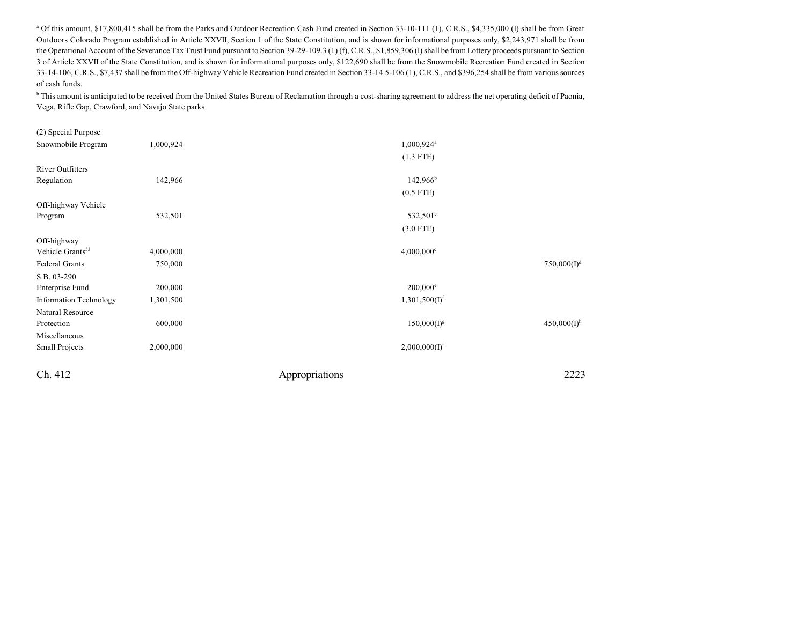<sup>a</sup> Of this amount, \$17,800,415 shall be from the Parks and Outdoor Recreation Cash Fund created in Section 33-10-111 (1), C.R.S., \$4,335,000 (I) shall be from Great Outdoors Colorado Program established in Article XXVII, Section 1 of the State Constitution, and is shown for informational purposes only, \$2,243,971 shall be from the Operational Account of the Severance Tax Trust Fund pursuant to Section 39-29-109.3 (1) (f), C.R.S., \$1,859,306 (I) shall be from Lottery proceeds pursuant to Section 3 of Article XXVII of the State Constitution, and is shown for informational purposes only, \$122,690 shall be from the Snowmobile Recreation Fund created in Section 33-14-106, C.R.S., \$7,437 shall be from the Off-highway Vehicle Recreation Fund created in Section 33-14.5-106 (1), C.R.S., and \$396,254 shall be from various sources of cash funds.

<sup>b</sup> This amount is anticipated to be received from the United States Bureau of Reclamation through a cost-sharing agreement to address the net operating deficit of Paonia, Vega, Rifle Gap, Crawford, and Navajo State parks.

| (2) Special Purpose           |           |                           |                           |
|-------------------------------|-----------|---------------------------|---------------------------|
| Snowmobile Program            | 1,000,924 | $1,000,924$ <sup>a</sup>  |                           |
|                               |           | $(1.3$ FTE)               |                           |
| <b>River Outfitters</b>       |           |                           |                           |
| Regulation                    | 142,966   | $142,966^{\rm b}$         |                           |
|                               |           | $(0.5$ FTE)               |                           |
| Off-highway Vehicle           |           |                           |                           |
| Program                       | 532,501   | 532,501°                  |                           |
|                               |           | $(3.0$ FTE)               |                           |
| Off-highway                   |           |                           |                           |
| Vehicle Grants <sup>53</sup>  | 4,000,000 | $4,000,000$ <sup>c</sup>  |                           |
| Federal Grants                | 750,000   |                           | 750,000(I) <sup>d</sup>   |
| S.B. 03-290                   |           |                           |                           |
| Enterprise Fund               | 200,000   | $200,000^{\circ}$         |                           |
| <b>Information Technology</b> | 1,301,500 | 1,301,500(I) <sup>f</sup> |                           |
| Natural Resource              |           |                           |                           |
| Protection                    | 600,000   | $150,000(I)^g$            | $450,000(I)$ <sup>h</sup> |
| Miscellaneous                 |           |                           |                           |
| <b>Small Projects</b>         | 2,000,000 | 2,000,000(I) <sup>f</sup> |                           |
| Ch. 412                       |           | Appropriations            | 2223                      |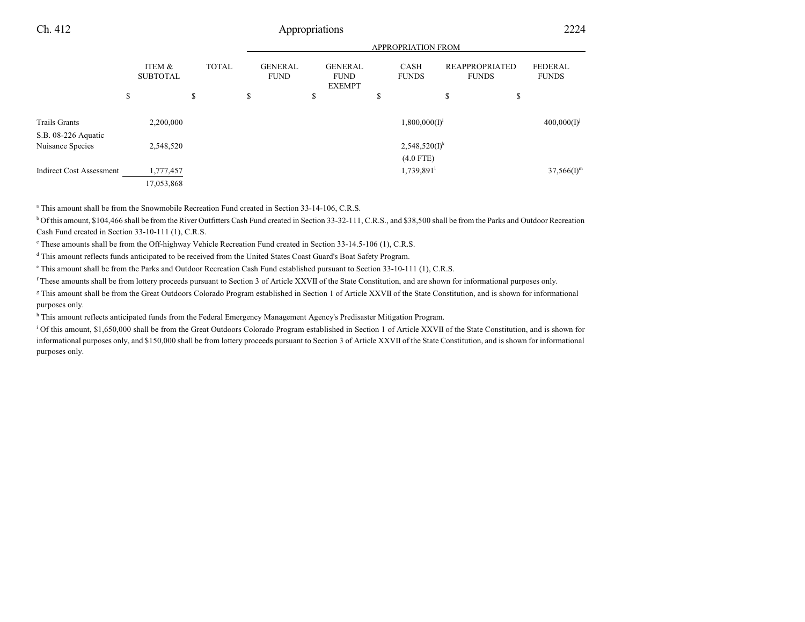|                                      |                           |              |                               |                                                | <b>APPROPRIATION FROM</b>   |                                       |                                |
|--------------------------------------|---------------------------|--------------|-------------------------------|------------------------------------------------|-----------------------------|---------------------------------------|--------------------------------|
|                                      | ITEM &<br><b>SUBTOTAL</b> | <b>TOTAL</b> | <b>GENERAL</b><br><b>FUND</b> | <b>GENERAL</b><br><b>FUND</b><br><b>EXEMPT</b> | <b>CASH</b><br><b>FUNDS</b> | <b>REAPPROPRIATED</b><br><b>FUNDS</b> | <b>FEDERAL</b><br><b>FUNDS</b> |
|                                      | \$                        | \$           | \$                            | \$                                             | \$                          | \$<br>\$                              |                                |
| Trails Grants<br>S.B. 08-226 Aquatic | 2,200,000                 |              |                               |                                                | $1,800,000(I)^{i}$          |                                       | $400,000(I)^{j}$               |
| Nuisance Species                     | 2,548,520                 |              |                               |                                                | $2,548,520(I)^k$            |                                       |                                |
|                                      |                           |              |                               |                                                | $(4.0$ FTE)                 |                                       |                                |
| <b>Indirect Cost Assessment</b>      | 1,777,457                 |              |                               |                                                | 1,739,891                   |                                       | $37,566$ (I) <sup>m</sup>      |
|                                      | 17,053,868                |              |                               |                                                |                             |                                       |                                |

a This amount shall be from the Snowmobile Recreation Fund created in Section 33-14-106, C.R.S.

<sup>b</sup> Of this amount, \$104,466 shall be from the River Outfitters Cash Fund created in Section 33-32-111, C.R.S., and \$38,500 shall be from the Parks and Outdoor Recreation Cash Fund created in Section 33-10-111 (1), C.R.S.

c These amounts shall be from the Off-highway Vehicle Recreation Fund created in Section 33-14.5-106 (1), C.R.S.

<sup>d</sup> This amount reflects funds anticipated to be received from the United States Coast Guard's Boat Safety Program.

e This amount shall be from the Parks and Outdoor Recreation Cash Fund established pursuant to Section 33-10-111 (1), C.R.S.

f These amounts shall be from lottery proceeds pursuant to Section 3 of Article XXVII of the State Constitution, and are shown for informational purposes only.

g This amount shall be from the Great Outdoors Colorado Program established in Section 1 of Article XXVII of the State Constitution, and is shown for informational purposes only.

<sup>h</sup> This amount reflects anticipated funds from the Federal Emergency Management Agency's Predisaster Mitigation Program.

<sup>i</sup> Of this amount, \$1,650,000 shall be from the Great Outdoors Colorado Program established in Section 1 of Article XXVII of the State Constitution, and is shown for informational purposes only, and \$150,000 shall be from lottery proceeds pursuant to Section 3 of Article XXVII of the State Constitution, and is shown for informational purposes only.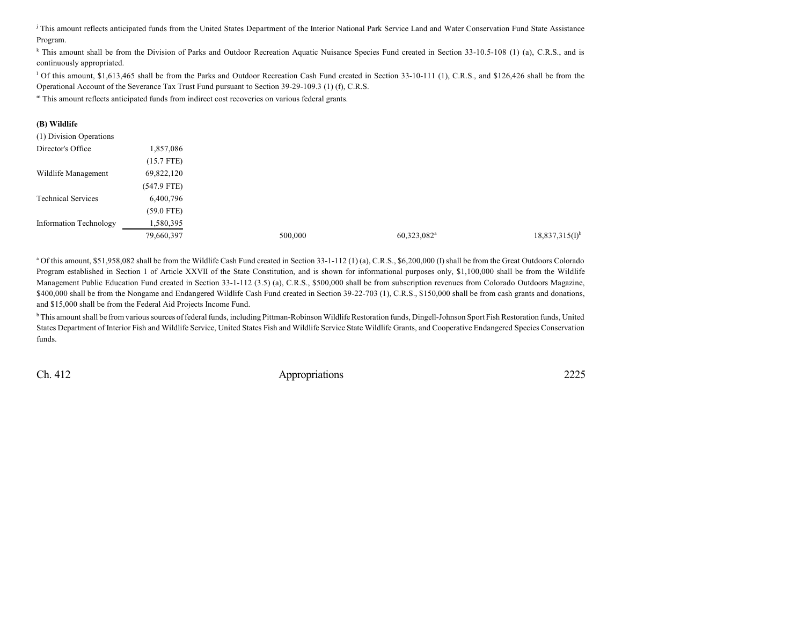<sup>j</sup> This amount reflects anticipated funds from the United States Department of the Interior National Park Service Land and Water Conservation Fund State Assistance Program.

<sup>k</sup> This amount shall be from the Division of Parks and Outdoor Recreation Aquatic Nuisance Species Fund created in Section 33-10.5-108 (1) (a), C.R.S., and is continuously appropriated.

<sup>1</sup> Of this amount, \$1,613,465 shall be from the Parks and Outdoor Recreation Cash Fund created in Section 33-10-111 (1), C.R.S., and \$126,426 shall be from the Operational Account of the Severance Tax Trust Fund pursuant to Section 39-29-109.3 (1) (f), C.R.S.

m This amount reflects anticipated funds from indirect cost recoveries on various federal grants.

### **(B) Wildlife**

| (1) Division Operations       |               |         |                         |                     |
|-------------------------------|---------------|---------|-------------------------|---------------------|
| Director's Office             | 1,857,086     |         |                         |                     |
|                               | $(15.7$ FTE)  |         |                         |                     |
| Wildlife Management           | 69,822,120    |         |                         |                     |
|                               | $(547.9$ FTE) |         |                         |                     |
| <b>Technical Services</b>     | 6,400,796     |         |                         |                     |
|                               | $(59.0$ FTE)  |         |                         |                     |
| <b>Information Technology</b> | 1,580,395     |         |                         |                     |
|                               | 79,660,397    | 500,000 | 60,323,082 <sup>a</sup> | $18,837,315(I)^{b}$ |

<sup>a</sup> Of this amount, \$51,958,082 shall be from the Wildlife Cash Fund created in Section 33-1-112 (1) (a), C.R.S., \$6,200,000 (I) shall be from the Great Outdoors Colorado Program established in Section 1 of Article XXVII of the State Constitution, and is shown for informational purposes only, \$1,100,000 shall be from the Wildlife Management Public Education Fund created in Section 33-1-112 (3.5) (a), C.R.S., \$500,000 shall be from subscription revenues from Colorado Outdoors Magazine, \$400,000 shall be from the Nongame and Endangered Wildlife Cash Fund created in Section 39-22-703 (1), C.R.S., \$150,000 shall be from cash grants and donations, and \$15,000 shall be from the Federal Aid Projects Income Fund.

b This amount shall be from various sources of federal funds, including Pittman-Robinson Wildlife Restoration funds, Dingell-Johnson Sport Fish Restoration funds, United States Department of Interior Fish and Wildlife Service, United States Fish and Wildlife Service State Wildlife Grants, and Cooperative Endangered Species Conservation funds.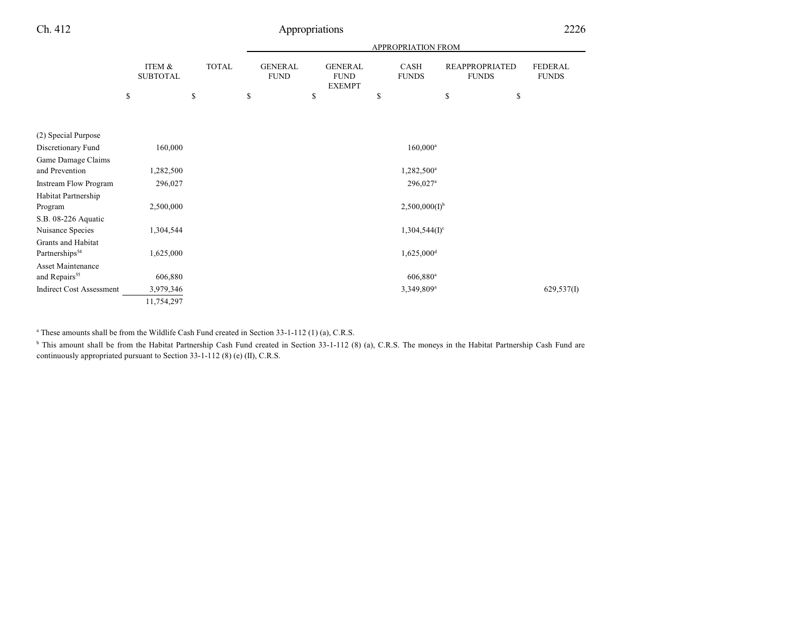|                                 |                           |              | <b>APPROPRIATION FROM</b> |                               |    |                                                |    |                          |    |                                       |                                |
|---------------------------------|---------------------------|--------------|---------------------------|-------------------------------|----|------------------------------------------------|----|--------------------------|----|---------------------------------------|--------------------------------|
|                                 | ITEM &<br><b>SUBTOTAL</b> | <b>TOTAL</b> |                           | <b>GENERAL</b><br><b>FUND</b> |    | <b>GENERAL</b><br><b>FUND</b><br><b>EXEMPT</b> |    | CASH<br><b>FUNDS</b>     |    | <b>REAPPROPRIATED</b><br><b>FUNDS</b> | <b>FEDERAL</b><br><b>FUNDS</b> |
|                                 | \$                        | \$           | \$                        |                               | \$ |                                                | \$ |                          | \$ | \$                                    |                                |
|                                 |                           |              |                           |                               |    |                                                |    |                          |    |                                       |                                |
| (2) Special Purpose             |                           |              |                           |                               |    |                                                |    |                          |    |                                       |                                |
| Discretionary Fund              | 160,000                   |              |                           |                               |    |                                                |    | $160,000^a$              |    |                                       |                                |
| Game Damage Claims              |                           |              |                           |                               |    |                                                |    |                          |    |                                       |                                |
| and Prevention                  | 1,282,500                 |              |                           |                               |    |                                                |    | 1,282,500 <sup>a</sup>   |    |                                       |                                |
| <b>Instream Flow Program</b>    | 296,027                   |              |                           |                               |    |                                                |    | 296,027 <sup>a</sup>     |    |                                       |                                |
| Habitat Partnership             |                           |              |                           |                               |    |                                                |    |                          |    |                                       |                                |
| Program                         | 2,500,000                 |              |                           |                               |    |                                                |    | $2,500,000(I)^{b}$       |    |                                       |                                |
| S.B. 08-226 Aquatic             |                           |              |                           |                               |    |                                                |    |                          |    |                                       |                                |
| Nuisance Species                | 1,304,544                 |              |                           |                               |    |                                                |    | $1,304,544(I)^c$         |    |                                       |                                |
| Grants and Habitat              |                           |              |                           |                               |    |                                                |    |                          |    |                                       |                                |
| Partnerships <sup>54</sup>      | 1,625,000                 |              |                           |                               |    |                                                |    | $1,625,000$ <sup>d</sup> |    |                                       |                                |
| <b>Asset Maintenance</b>        |                           |              |                           |                               |    |                                                |    |                          |    |                                       |                                |
| and Repairs <sup>55</sup>       | 606,880                   |              |                           |                               |    |                                                |    | $606,880$ <sup>a</sup>   |    |                                       |                                |
| <b>Indirect Cost Assessment</b> | 3,979,346                 |              |                           |                               |    |                                                |    | 3,349,809 <sup>a</sup>   |    |                                       | 629,537(I)                     |
|                                 | 11,754,297                |              |                           |                               |    |                                                |    |                          |    |                                       |                                |

<sup>a</sup> These amounts shall be from the Wildlife Cash Fund created in Section 33-1-112 (1) (a), C.R.S.

<sup>b</sup> This amount shall be from the Habitat Partnership Cash Fund created in Section 33-1-112 (8) (a), C.R.S. The moneys in the Habitat Partnership Cash Fund are continuously appropriated pursuant to Section 33-1-112 (8) (e) (II), C.R.S.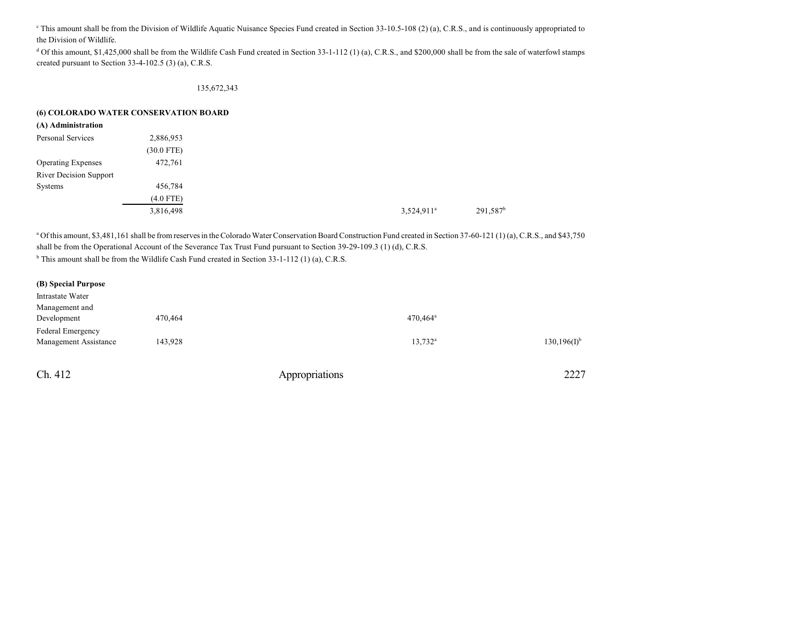<sup>c</sup> This amount shall be from the Division of Wildlife Aquatic Nuisance Species Fund created in Section 33-10.5-108 (2) (a), C.R.S., and is continuously appropriated to the Division of Wildlife.

<sup>d</sup> Of this amount, \$1,425,000 shall be from the Wildlife Cash Fund created in Section 33-1-112 (1) (a), C.R.S., and \$200,000 shall be from the sale of waterfowl stamps created pursuant to Section 33-4-102.5 (3) (a), C.R.S.

#### 135,672,343

### **(6) COLORADO WATER CONSERVATION BOARD**

| (A) Administration            |              |               |  |
|-------------------------------|--------------|---------------|--|
| Personal Services             | 2,886,953    |               |  |
|                               | $(30.0$ FTE) |               |  |
| <b>Operating Expenses</b>     | 472,761      |               |  |
| <b>River Decision Support</b> |              |               |  |
| Systems                       | 456,784      |               |  |
|                               | $(4.0$ FTE)  |               |  |
|                               | 3,816,498    | $3,524,911^a$ |  |
|                               |              |               |  |

<sup>a</sup> Of this amount, \$3,481,161 shall be from reserves in the Colorado Water Conservation Board Construction Fund created in Section 37-60-121 (1) (a), C.R.S., and \$43,750 shall be from the Operational Account of the Severance Tax Trust Fund pursuant to Section 39-29-109.3 (1) (d), C.R.S. <sup>b</sup> This amount shall be from the Wildlife Cash Fund created in Section 33-1-112 (1) (a), C.R.S.

| $130, 196(I)^{b}$ |
|-------------------|
|                   |
|                   |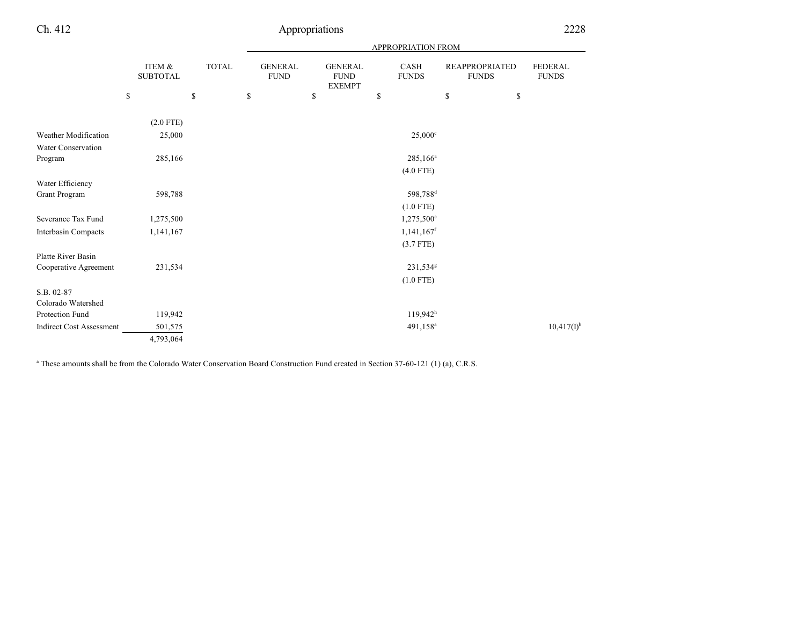|                                 |                           |              |                               |                                                | <b>APPROPRIATION FROM</b> |                                       |                         |
|---------------------------------|---------------------------|--------------|-------------------------------|------------------------------------------------|---------------------------|---------------------------------------|-------------------------|
|                                 | ITEM &<br><b>SUBTOTAL</b> | <b>TOTAL</b> | <b>GENERAL</b><br><b>FUND</b> | <b>GENERAL</b><br><b>FUND</b><br><b>EXEMPT</b> | CASH<br><b>FUNDS</b>      | <b>REAPPROPRIATED</b><br><b>FUNDS</b> | FEDERAL<br><b>FUNDS</b> |
|                                 | \$                        | \$           | \$                            | \$                                             | \$                        | \$<br>\$                              |                         |
|                                 | $(2.0$ FTE)               |              |                               |                                                |                           |                                       |                         |
| Weather Modification            | 25,000                    |              |                               |                                                | $25,000^{\circ}$          |                                       |                         |
| Water Conservation              |                           |              |                               |                                                |                           |                                       |                         |
| Program                         | 285,166                   |              |                               |                                                | $285,166^a$               |                                       |                         |
|                                 |                           |              |                               |                                                | $(4.0$ FTE)               |                                       |                         |
| Water Efficiency                |                           |              |                               |                                                |                           |                                       |                         |
| <b>Grant Program</b>            | 598,788                   |              |                               |                                                | 598,788 <sup>d</sup>      |                                       |                         |
|                                 |                           |              |                               |                                                | $(1.0$ FTE)               |                                       |                         |
| Severance Tax Fund              | 1,275,500                 |              |                               |                                                | 1,275,500°                |                                       |                         |
| <b>Interbasin Compacts</b>      | 1,141,167                 |              |                               |                                                | $1,141,167$ <sup>f</sup>  |                                       |                         |
|                                 |                           |              |                               |                                                | $(3.7$ FTE)               |                                       |                         |
| Platte River Basin              |                           |              |                               |                                                |                           |                                       |                         |
| Cooperative Agreement           | 231,534                   |              |                               |                                                | 231,534 <sup>g</sup>      |                                       |                         |
|                                 |                           |              |                               |                                                | $(1.0$ FTE)               |                                       |                         |
| S.B. 02-87                      |                           |              |                               |                                                |                           |                                       |                         |
| Colorado Watershed              |                           |              |                               |                                                |                           |                                       |                         |
| Protection Fund                 | 119,942                   |              |                               |                                                | 119,942 <sup>h</sup>      |                                       |                         |
| <b>Indirect Cost Assessment</b> | 501,575                   |              |                               |                                                | 491,158 <sup>a</sup>      |                                       | $10,417(I)^{b}$         |
|                                 | 4,793,064                 |              |                               |                                                |                           |                                       |                         |

<sup>a</sup> These amounts shall be from the Colorado Water Conservation Board Construction Fund created in Section 37-60-121 (1) (a), C.R.S.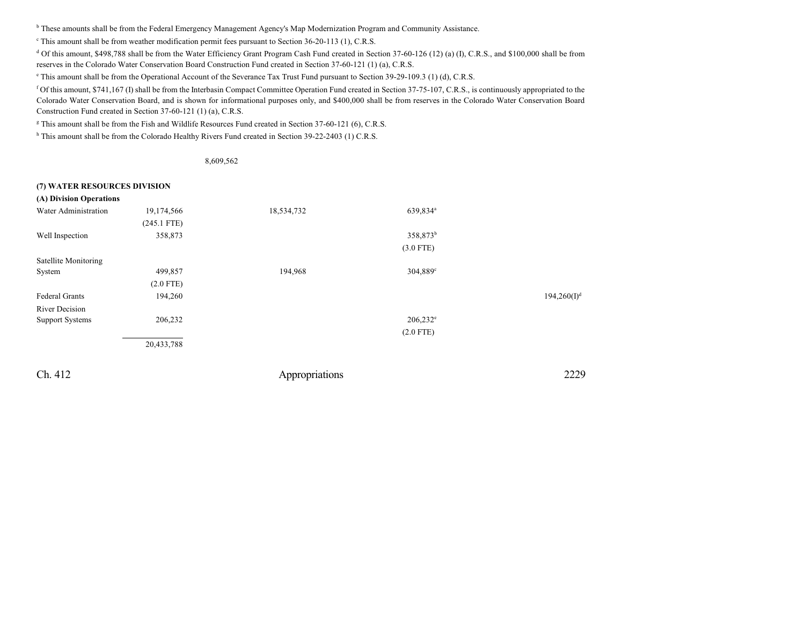<sup>b</sup> These amounts shall be from the Federal Emergency Management Agency's Map Modernization Program and Community Assistance.

This amount shall be from weather modification permit fees pursuant to Section 36-20-113 (1), C.R.S.

<sup>d</sup> Of this amount, \$498,788 shall be from the Water Efficiency Grant Program Cash Fund created in Section 37-60-126 (12) (a) (I), C.R.S., and \$100,000 shall be from reserves in the Colorado Water Conservation Board Construction Fund created in Section 37-60-121 (1) (a), C.R.S.

e This amount shall be from the Operational Account of the Severance Tax Trust Fund pursuant to Section 39-29-109.3 (1) (d), C.R.S.

<sup>f</sup> Of this amount, \$741,167 (I) shall be from the Interbasin Compact Committee Operation Fund created in Section 37-75-107, C.R.S., is continuously appropriated to the Colorado Water Conservation Board, and is shown for informational purposes only, and \$400,000 shall be from reserves in the Colorado Water Conservation Board Construction Fund created in Section 37-60-121 (1) (a), C.R.S.

g This amount shall be from the Fish and Wildlife Resources Fund created in Section 37-60-121 (6), C.R.S.

<sup>h</sup> This amount shall be from the Colorado Healthy Rivers Fund created in Section 39-22-2403 (1) C.R.S.

8,609,562

#### **(7) WATER RESOURCES DIVISION**

| (A) Division Operations |               |            |                      |                |
|-------------------------|---------------|------------|----------------------|----------------|
| Water Administration    | 19,174,566    | 18,534,732 | 639,834 <sup>a</sup> |                |
|                         | $(245.1$ FTE) |            |                      |                |
| Well Inspection         | 358,873       |            | 358,873 <sup>b</sup> |                |
|                         |               |            | $(3.0$ FTE)          |                |
| Satellite Monitoring    |               |            |                      |                |
| System                  | 499,857       | 194,968    | 304,889°             |                |
|                         | $(2.0$ FTE)   |            |                      |                |
| Federal Grants          | 194,260       |            |                      | $194,260(I)^d$ |
| River Decision          |               |            |                      |                |
| <b>Support Systems</b>  | 206,232       |            | $206,232^e$          |                |
|                         |               |            | $(2.0$ FTE)          |                |
|                         | 20,433,788    |            |                      |                |
|                         |               |            |                      |                |
|                         |               |            |                      |                |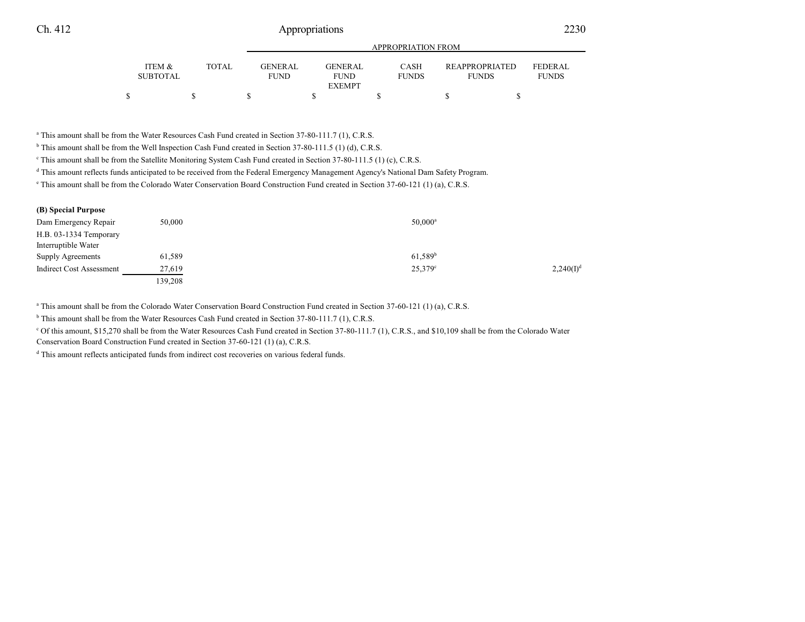|                                      |        | APPROPRIATION FROM             |  |                               |  |                             |  |                                       |  |                                |  |
|--------------------------------------|--------|--------------------------------|--|-------------------------------|--|-----------------------------|--|---------------------------------------|--|--------------------------------|--|
| <b>ITEM &amp;</b><br><b>SUBTOTAL</b> | TOTAL. | <b>GENER AL</b><br><b>FUND</b> |  | <b>GENERAL</b><br><b>FUND</b> |  | <b>CASH</b><br><b>FUNDS</b> |  | <b>REAPPROPRIATED</b><br><b>FUNDS</b> |  | <b>FEDERAL</b><br><b>FUNDS</b> |  |
|                                      |        |                                |  | <b>EXEMPT</b>                 |  |                             |  |                                       |  |                                |  |
|                                      |        |                                |  |                               |  |                             |  |                                       |  |                                |  |

APPROPRIATION FROM

a This amount shall be from the Water Resources Cash Fund created in Section 37-80-111.7 (1), C.R.S.

<sup>b</sup> This amount shall be from the Well Inspection Cash Fund created in Section 37-80-111.5 (1) (d), C.R.S.

c This amount shall be from the Satellite Monitoring System Cash Fund created in Section 37-80-111.5 (1) (c), C.R.S.

d This amount reflects funds anticipated to be received from the Federal Emergency Management Agency's National Dam Safety Program.

e This amount shall be from the Colorado Water Conservation Board Construction Fund created in Section 37-60-121 (1) (a), C.R.S.

| (B) Special Purpose             |         |                  |                |
|---------------------------------|---------|------------------|----------------|
| Dam Emergency Repair            | 50,000  | $50,000^{\rm a}$ |                |
| H.B. 03-1334 Temporary          |         |                  |                |
| Interruptible Water             |         |                  |                |
| Supply Agreements               | 61,589  | $61,589^b$       |                |
| <b>Indirect Cost Assessment</b> | 27,619  | $25,379^{\circ}$ | $2,240(I)^{d}$ |
|                                 | 139,208 |                  |                |

a This amount shall be from the Colorado Water Conservation Board Construction Fund created in Section 37-60-121 (1) (a), C.R.S.

<sup>b</sup> This amount shall be from the Water Resources Cash Fund created in Section 37-80-111.7 (1), C.R.S.

<sup>c</sup> Of this amount, \$15,270 shall be from the Water Resources Cash Fund created in Section 37-80-111.7 (1), C.R.S., and \$10,109 shall be from the Colorado Water Conservation Board Construction Fund created in Section 37-60-121 (1) (a), C.R.S.

<sup>d</sup> This amount reflects anticipated funds from indirect cost recoveries on various federal funds.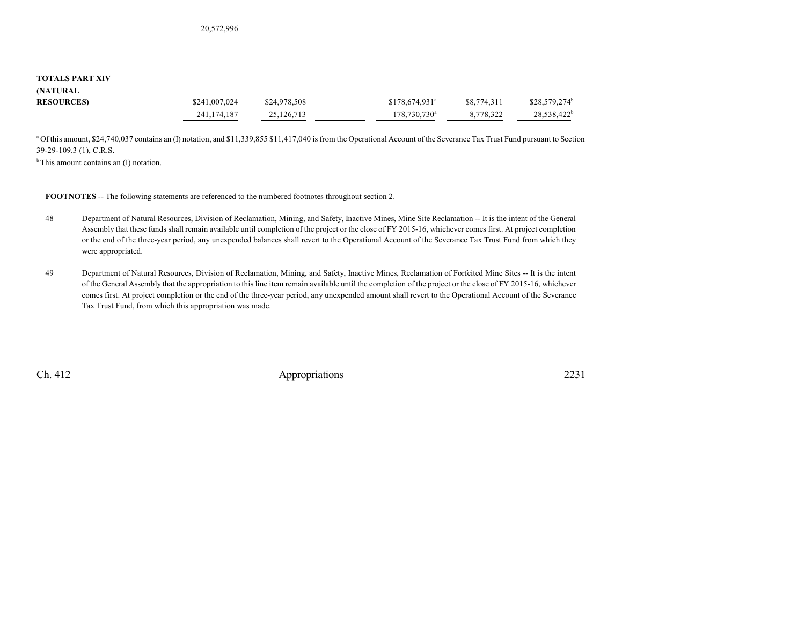#### **TOTALS PART XIV (NATURAL**

| <b>UMBEDIAL</b>  |               |              |                          |                        |                           |
|------------------|---------------|--------------|--------------------------|------------------------|---------------------------|
| <b>RESOURCES</b> | \$241,007,024 | \$24,978,508 | <del>\$178,674,931</del> | <del>\$8,774,311</del> | \$28,579,274 <sup>b</sup> |
|                  | 241, 174, 187 | 25.126.713   | 178,730,730 <sup>a</sup> | 8,778,322              | 28,538,422 <sup>b</sup>   |

<sup>a</sup> Of this amount, \$24,740,037 contains an (I) notation, and <del>\$11,339,855</del> \$11,417,040 is from the Operational Account of the Severance Tax Trust Fund pursuant to Section 39-29-109.3 (1), C.R.S.

 $<sup>b</sup>$ This amount contains an (I) notation.</sup>

**FOOTNOTES** -- The following statements are referenced to the numbered footnotes throughout section 2.

- 48 Department of Natural Resources, Division of Reclamation, Mining, and Safety, Inactive Mines, Mine Site Reclamation -- It is the intent of the General Assembly that these funds shall remain available until completion of the project or the close of FY 2015-16, whichever comes first. At project completion or the end of the three-year period, any unexpended balances shall revert to the Operational Account of the Severance Tax Trust Fund from which they were appropriated.
- 49 Department of Natural Resources, Division of Reclamation, Mining, and Safety, Inactive Mines, Reclamation of Forfeited Mine Sites -- It is the intent of the General Assembly that the appropriation to this line item remain available until the completion of the project or the close of FY 2015-16, whichever comes first. At project completion or the end of the three-year period, any unexpended amount shall revert to the Operational Account of the Severance Tax Trust Fund, from which this appropriation was made.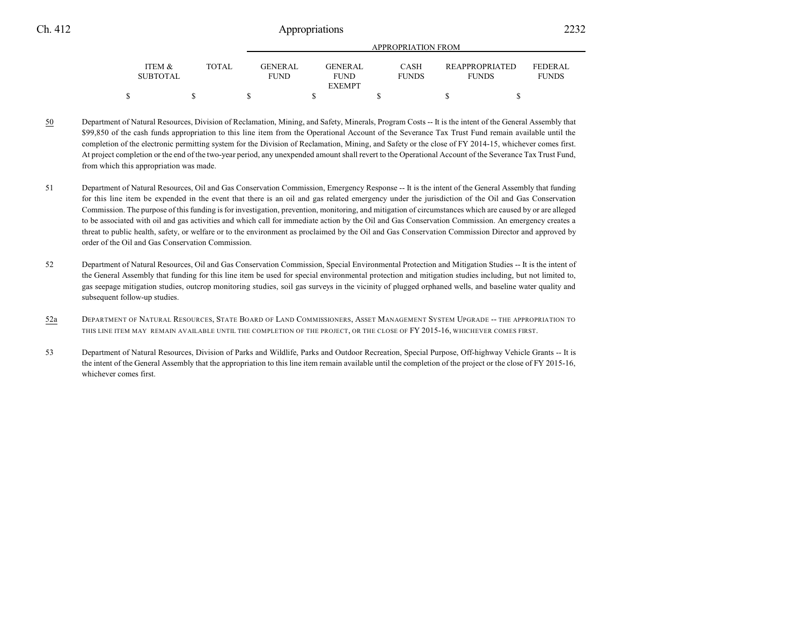|                           |       |                                | APPROPRIATION FROM       |                             |                                       |                                |  |  |  |  |  |
|---------------------------|-------|--------------------------------|--------------------------|-----------------------------|---------------------------------------|--------------------------------|--|--|--|--|--|
| ITEM &<br><b>SUBTOTAL</b> | TOTAL | <b>GENER AL</b><br><b>FUND</b> | GENER AL.<br><b>FUND</b> | <b>CASH</b><br><b>FUNDS</b> | <b>REAPPROPRIATED</b><br><b>FUNDS</b> | <b>FEDERAL</b><br><b>FUNDS</b> |  |  |  |  |  |
|                           |       |                                | <b>EXEMPT</b>            |                             |                                       |                                |  |  |  |  |  |
|                           |       |                                |                          |                             |                                       |                                |  |  |  |  |  |

- 50 Department of Natural Resources, Division of Reclamation, Mining, and Safety, Minerals, Program Costs -- It is the intent of the General Assembly that \$99,850 of the cash funds appropriation to this line item from the Operational Account of the Severance Tax Trust Fund remain available until the completion of the electronic permitting system for the Division of Reclamation, Mining, and Safety or the close of FY 2014-15, whichever comes first. At project completion or the end of the two-year period, any unexpended amount shall revert to the Operational Account of the Severance Tax Trust Fund, from which this appropriation was made.
- 51 Department of Natural Resources, Oil and Gas Conservation Commission, Emergency Response -- It is the intent of the General Assembly that funding for this line item be expended in the event that there is an oil and gas related emergency under the jurisdiction of the Oil and Gas Conservation Commission. The purpose of this funding is for investigation, prevention, monitoring, and mitigation of circumstances which are caused by or are alleged to be associated with oil and gas activities and which call for immediate action by the Oil and Gas Conservation Commission. An emergency creates a threat to public health, safety, or welfare or to the environment as proclaimed by the Oil and Gas Conservation Commission Director and approved by order of the Oil and Gas Conservation Commission.
- 52 Department of Natural Resources, Oil and Gas Conservation Commission, Special Environmental Protection and Mitigation Studies -- It is the intent of the General Assembly that funding for this line item be used for special environmental protection and mitigation studies including, but not limited to, gas seepage mitigation studies, outcrop monitoring studies, soil gas surveys in the vicinity of plugged orphaned wells, and baseline water quality and subsequent follow-up studies.
- 52a DEPARTMENT OF NATURAL RESOURCES, STATE BOARD OF LAND COMMISSIONERS, ASSET MANAGEMENT SYSTEM UPGRADE -- THE APPROPRIATION TO THIS LINE ITEM MAY REMAIN AVAILABLE UNTIL THE COMPLETION OF THE PROJECT, OR THE CLOSE OF FY 2015-16, WHICHEVER COMES FIRST.
- 53 Department of Natural Resources, Division of Parks and Wildlife, Parks and Outdoor Recreation, Special Purpose, Off-highway Vehicle Grants -- It is the intent of the General Assembly that the appropriation to this line item remain available until the completion of the project or the close of FY 2015-16, whichever comes first.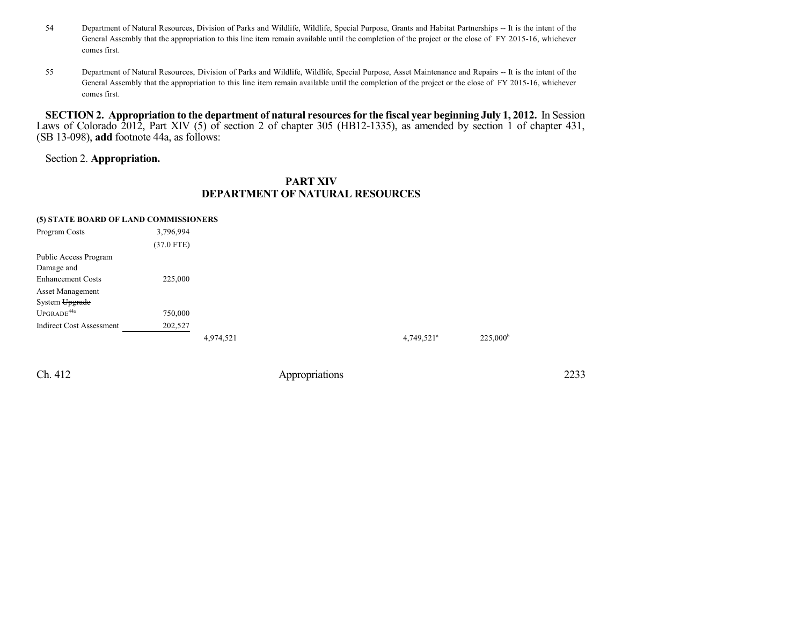- 54 Department of Natural Resources, Division of Parks and Wildlife, Wildlife, Special Purpose, Grants and Habitat Partnerships -- It is the intent of the General Assembly that the appropriation to this line item remain available until the completion of the project or the close of FY 2015-16, whichever comes first.
- 55 Department of Natural Resources, Division of Parks and Wildlife, Wildlife, Special Purpose, Asset Maintenance and Repairs -- It is the intent of the General Assembly that the appropriation to this line item remain available until the completion of the project or the close of FY 2015-16, whichever comes first.

SECTION 2. Appropriation to the department of natural resources for the fiscal year beginning July 1, 2012. In Session Laws of Colorado 2012, Part XIV (5) of section 2 of chapter 305 (HB12-1335), as amended by section 1 of chapter 431, (SB 13-098), **add** footnote 44a, as follows:

## Section 2. **Appropriation.**

## **PART XIV DEPARTMENT OF NATURAL RESOURCES**

### **(5) STATE BOARD OF LAND COMMISSIONERS**

| Program Costs                   | 3,796,994    |           |  |                          |                   |
|---------------------------------|--------------|-----------|--|--------------------------|-------------------|
|                                 | $(37.0$ FTE) |           |  |                          |                   |
| Public Access Program           |              |           |  |                          |                   |
| Damage and                      |              |           |  |                          |                   |
| <b>Enhancement Costs</b>        | 225,000      |           |  |                          |                   |
| <b>Asset Management</b>         |              |           |  |                          |                   |
| System Upgrade                  |              |           |  |                          |                   |
| UPGRADE <sup>44a</sup>          | 750,000      |           |  |                          |                   |
| <b>Indirect Cost Assessment</b> | 202,527      |           |  |                          |                   |
|                                 |              | 4,974,521 |  | $4,749,521$ <sup>a</sup> | $225,000^{\rm b}$ |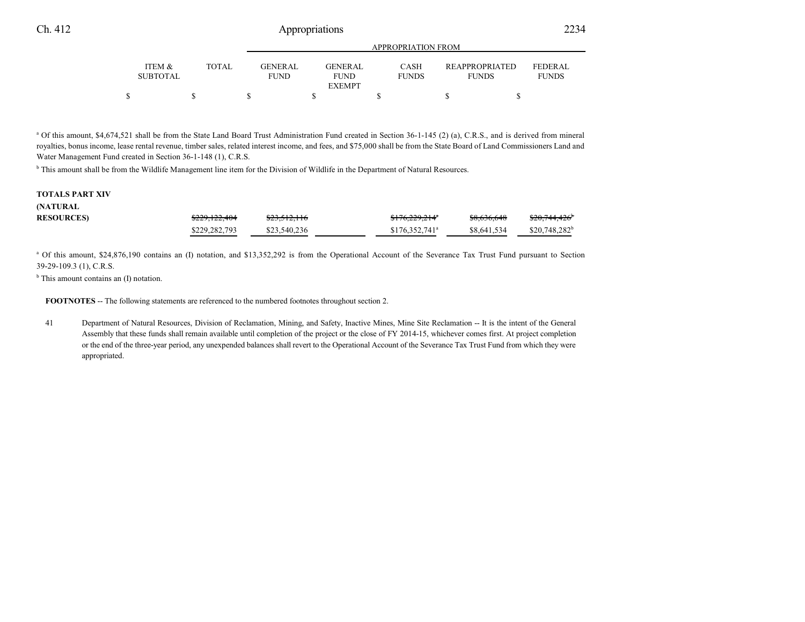|                           |        | APPROPRIATION FROM       |  |                        |  |                             |  |                                       |  |                                |  |
|---------------------------|--------|--------------------------|--|------------------------|--|-----------------------------|--|---------------------------------------|--|--------------------------------|--|
| ITEM &<br><b>SUBTOTAL</b> | TOTAL. | GENER AL.<br><b>FUND</b> |  | GENERAL<br><b>FUND</b> |  | <b>CASH</b><br><b>FUNDS</b> |  | <b>REAPPROPRIATED</b><br><b>FUNDS</b> |  | <b>FEDERAL</b><br><b>FUNDS</b> |  |
|                           |        |                          |  | <b>EXEMPT</b>          |  |                             |  |                                       |  |                                |  |
|                           |        |                          |  |                        |  |                             |  |                                       |  |                                |  |

<sup>a</sup> Of this amount, \$4,674,521 shall be from the State Land Board Trust Administration Fund created in Section 36-1-145 (2) (a), C.R.S., and is derived from mineral royalties, bonus income, lease rental revenue, timber sales, related interest income, and fees, and \$75,000 shall be from the State Board of Land Commissioners Land and Water Management Fund created in Section 36-1-148 (1), C.R.S.

<sup>b</sup> This amount shall be from the Wildlife Management line item for the Division of Wildlife in the Department of Natural Resources.

#### **TOTALS PART XIV (NATURAL**

| , , , , , , , , , , , , , , , |               |              |                            |             |                 |
|-------------------------------|---------------|--------------|----------------------------|-------------|-----------------|
| <b>RESOURCES)</b>             | \$229,122,404 | \$23,512,116 | <del>\$176,229,214</del> * | \$8,636,648 | \$20,744,426    |
|                               | \$229,282,793 | \$23,540,236 | $$176,352,741^a$           | \$8,641,534 | $$20.748.282^b$ |

<sup>a</sup> Of this amount, \$24,876,190 contains an (I) notation, and \$13,352,292 is from the Operational Account of the Severance Tax Trust Fund pursuant to Section 39-29-109.3 (1), C.R.S.

<sup>b</sup> This amount contains an (I) notation.

**FOOTNOTES** -- The following statements are referenced to the numbered footnotes throughout section 2.

41 Department of Natural Resources, Division of Reclamation, Mining, and Safety, Inactive Mines, Mine Site Reclamation -- It is the intent of the General Assembly that these funds shall remain available until completion of the project or the close of FY 2014-15, whichever comes first. At project completion or the end of the three-year period, any unexpended balances shall revert to the Operational Account of the Severance Tax Trust Fund from which they were appropriated.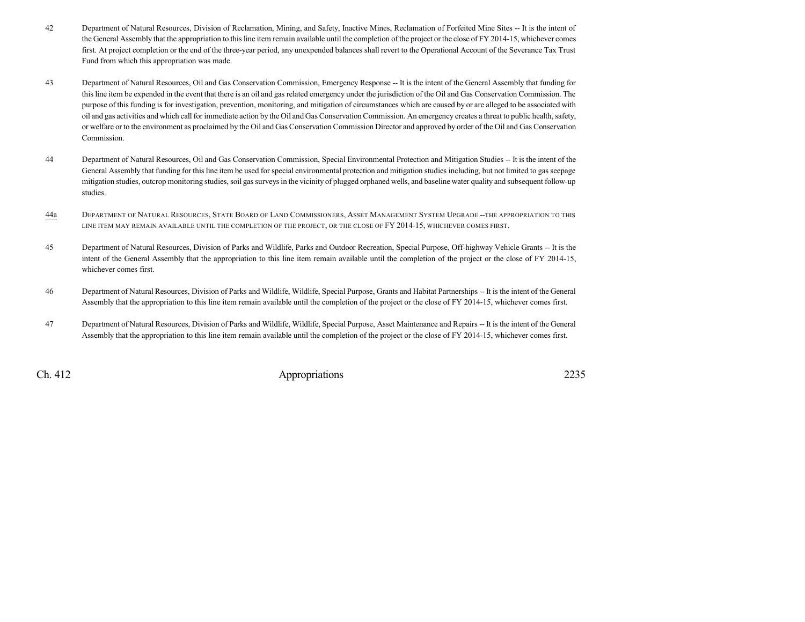- 42 Department of Natural Resources, Division of Reclamation, Mining, and Safety, Inactive Mines, Reclamation of Forfeited Mine Sites -- It is the intent of the General Assembly that the appropriation to this line item remain available until the completion of the project or the close of FY 2014-15, whichever comes first. At project completion or the end of the three-year period, any unexpended balances shall revert to the Operational Account of the Severance Tax Trust Fund from which this appropriation was made.
- 43 Department of Natural Resources, Oil and Gas Conservation Commission, Emergency Response -- It is the intent of the General Assembly that funding for this line item be expended in the event that there is an oil and gas related emergency under the jurisdiction of the Oil and Gas Conservation Commission. The purpose of this funding is for investigation, prevention, monitoring, and mitigation of circumstances which are caused by or are alleged to be associated with oil and gas activities and which callfor immediate action by the Oil and Gas Conservation Commission. An emergency creates a threat to public health, safety, or welfare or to the environment as proclaimed by the Oil and Gas Conservation Commission Director and approved by order of the Oil and Gas Conservation Commission.
- 44 Department of Natural Resources, Oil and Gas Conservation Commission, Special Environmental Protection and Mitigation Studies -- It is the intent of the General Assembly that funding for this line item be used for special environmental protection and mitigation studies including, but not limited to gas seepage mitigation studies, outcrop monitoring studies, soil gas surveys in the vicinity of plugged orphaned wells, and baseline water quality and subsequent follow-up studies.
- 44a DEPARTMENT OF NATURAL RESOURCES, STATE BOARD OF LAND COMMISSIONERS, ASSET MANAGEMENT SYSTEM UPGRADE --THE APPROPRIATION TO THIS LINE ITEM MAY REMAIN AVAILABLE UNTIL THE COMPLETION OF THE PROJECT, OR THE CLOSE OF FY 2014-15, WHICHEVER COMES FIRST.
- 45 Department of Natural Resources, Division of Parks and Wildlife, Parks and Outdoor Recreation, Special Purpose, Off-highway Vehicle Grants -- It is the intent of the General Assembly that the appropriation to this line item remain available until the completion of the project or the close of FY 2014-15, whichever comes first.
- 46 Department of Natural Resources, Division of Parks and Wildlife, Wildlife, Special Purpose, Grants and Habitat Partnerships -- It is the intent of the General Assembly that the appropriation to this line item remain available until the completion of the project or the close of FY 2014-15, whichever comes first.
- 47 Department of Natural Resources, Division of Parks and Wildlife, Wildlife, Special Purpose, Asset Maintenance and Repairs -- It is the intent of the General Assembly that the appropriation to this line item remain available until the completion of the project or the close of FY 2014-15, whichever comes first.